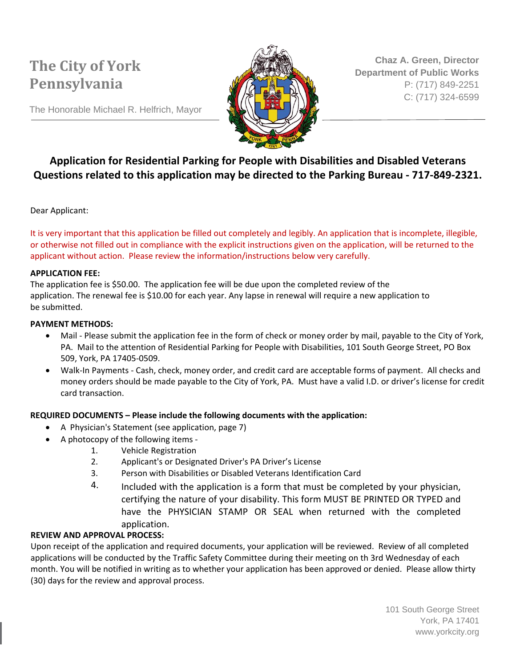

**Chaz A. Green, Director Department of Public Works** P: (717) 849-2251 C: (717) 324-6599

The Honorable Michael R. Helfrich, Mayor

### **Application for Residential Parking for People with Disabilities and Disabled Veterans Questions related to this application may be directed to the Parking Bureau - 717-849-2321.**

Dear Applicant:

It is very important that this application be filled out completely and legibly. An application that is incomplete, illegible, or otherwise not filled out in compliance with the explicit instructions given on the application, will be returned to the applicant without action. Please review the information/instructions below very carefully.

#### **APPLICATION FEE:**

The application fee is \$50.00. The application fee will be due upon the completed review of the application. The renewal fee is \$10.00 for each year. Any lapse in renewal will require a new application to be submitted.

#### **PAYMENT METHODS:**

- Mail Please submit the application fee in the form of check or money order by mail, payable to the City of York, PA. Mail to the attention of Residential Parking for People with Disabilities, 101 South George Street, PO Box 509, York, PA 17405-0509.
- Walk-In Payments Cash, check, money order, and credit card are acceptable forms of payment. All checks and money orders should be made payable to the City of York, PA. Must have a valid I.D. or driver's license for credit card transaction.

#### **REQUIRED DOCUMENTS – Please include the following documents with the application:**

- A Physician's Statement (see application, page 7)
- A photocopy of the following items
	- 1. Vehicle Registration
	- 2. Applicant's or Designated Driver's PA Driver's License
	- 3. Person with Disabilities or Disabled Veterans Identification Card
	- 4. Included with the application is a form that must be completed by your physician, certifying the nature of your disability. This form MUST BE PRINTED OR TYPED and have the PHYSICIAN STAMP OR SEAL when returned with the completed application.

### **REVIEW AND APPROVAL PROCESS:**

Upon receipt of the application and required documents, your application will be reviewed. Review of all completed applications will be conducted by the Traffic Safety Committee during their meeting on th 3rd Wednesday of each month. You will be notified in writing as to whether your application has been approved or denied. Please allow thirty (30) days for the review and approval process.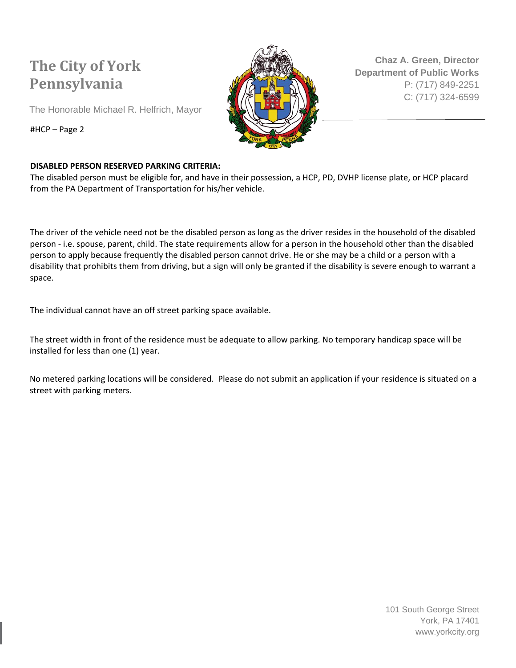The Honorable Michael R. Helfrich, Mayor



**Chaz A. Green, Director Department of Public Works** P: (717) 849-2251 C: (717) 324-6599

#HCP – Page 2

### **DISABLED PERSON RESERVED PARKING CRITERIA:**

The disabled person must be eligible for, and have in their possession, a HCP, PD, DVHP license plate, or HCP placard from the PA Department of Transportation for his/her vehicle.

The driver of the vehicle need not be the disabled person as long as the driver resides in the household of the disabled person - i.e. spouse, parent, child. The state requirements allow for a person in the household other than the disabled person to apply because frequently the disabled person cannot drive. He or she may be a child or a person with a disability that prohibits them from driving, but a sign will only be granted if the disability is severe enough to warrant a space.

The individual cannot have an off street parking space available.

The street width in front of the residence must be adequate to allow parking. No temporary handicap space will be installed for less than one (1) year.

No metered parking locations will be considered. Please do not submit an application if your residence is situated on a street with parking meters.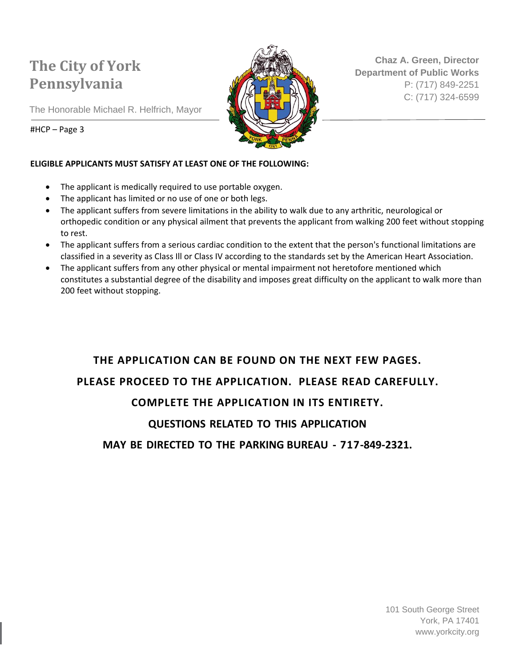

**Chaz A. Green, Director Department of Public Works** P: (717) 849-2251 C: (717) 324-6599

The Honorable Michael R. Helfrich, Mayor

#HCP – Page 3

### **ELIGIBLE APPLICANTS MUST SATISFY AT LEAST ONE OF THE FOLLOWING:**

- The applicant is medically required to use portable oxygen.
- The applicant has limited or no use of one or both legs.
- The applicant suffers from severe limitations in the ability to walk due to any arthritic, neurological or orthopedic condition or any physical ailment that prevents the applicant from walking 200 feet without stopping to rest.
- The applicant suffers from a serious cardiac condition to the extent that the person's functional limitations are classified in a severity as Class Ill or Class IV according to the standards set by the American Heart Association.
- The applicant suffers from any other physical or mental impairment not heretofore mentioned which constitutes a substantial degree of the disability and imposes great difficulty on the applicant to walk more than 200 feet without stopping.

## **THE APPLICATION CAN BE FOUND ON THE NEXT FEW PAGES. PLEASE PROCEED TO THE APPLICATION. PLEASE READ CAREFULLY. COMPLETE THE APPLICATION IN ITS ENTIRETY.**

### **QUESTIONS RELATED TO THIS APPLICATION**

**MAY BE DIRECTED TO THE PARKING BUREAU - 717-849-2321.**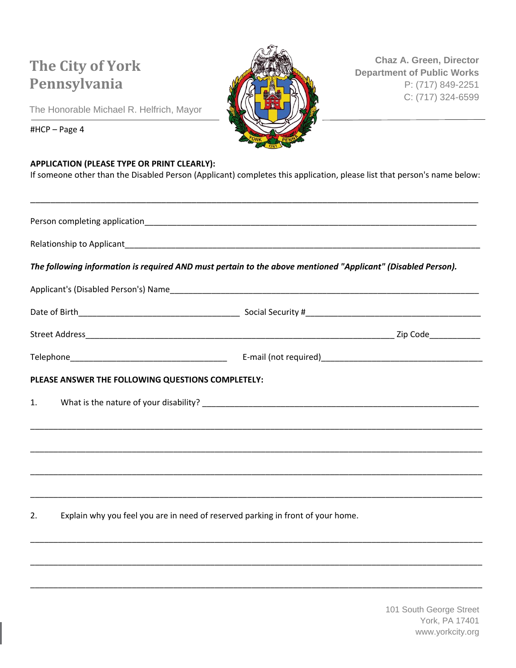

**Chaz A. Green, Director Department of Public Works** P: (717) 849-2251 C: (717) 324-6599

The Honorable Michael R. Helfrich, Mayor

#HCP – Page 4

#### **APPLICATION (PLEASE TYPE OR PRINT CLEARLY):**

If someone other than the Disabled Person (Applicant) completes this application, please list that person's name below:

\_\_\_\_\_\_\_\_\_\_\_\_\_\_\_\_\_\_\_\_\_\_\_\_\_\_\_\_\_\_\_\_\_\_\_\_\_\_\_\_\_\_\_\_\_\_\_\_\_\_\_\_\_\_\_\_\_\_\_\_\_\_\_\_\_\_\_\_\_\_\_\_\_\_\_\_\_\_\_\_\_\_\_\_\_\_\_\_\_

|    |                                                   | The following information is required AND must pertain to the above mentioned "Applicant" (Disabled Person). |  |  |  |
|----|---------------------------------------------------|--------------------------------------------------------------------------------------------------------------|--|--|--|
|    |                                                   |                                                                                                              |  |  |  |
|    |                                                   |                                                                                                              |  |  |  |
|    |                                                   |                                                                                                              |  |  |  |
|    |                                                   |                                                                                                              |  |  |  |
|    | PLEASE ANSWER THE FOLLOWING QUESTIONS COMPLETELY: |                                                                                                              |  |  |  |
| 1. |                                                   |                                                                                                              |  |  |  |
|    |                                                   |                                                                                                              |  |  |  |
|    |                                                   |                                                                                                              |  |  |  |
|    |                                                   |                                                                                                              |  |  |  |
|    |                                                   |                                                                                                              |  |  |  |
| 2. |                                                   | Explain why you feel you are in need of reserved parking in front of your home.                              |  |  |  |
|    |                                                   |                                                                                                              |  |  |  |
|    |                                                   |                                                                                                              |  |  |  |
|    |                                                   |                                                                                                              |  |  |  |
|    |                                                   |                                                                                                              |  |  |  |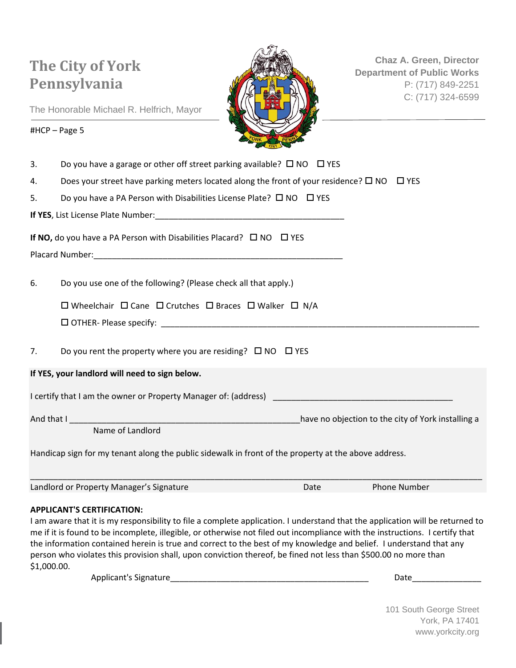

**Chaz A. Green, Director Department of Public Works** P: (717) 849-2251 C: (717) 324-6599

The Honorable Michael R. Helfrich, Mayor

#### #HCP – Page 5

3. Do you have a garage or other off street parking available?  $\Box$  NO  $\Box$  YES

4. Does your street have parking meters located along the front of your residence?  $\square$  NO  $\square$  YES

5. Do you have a PA Person with Disabilities License Plate?  $\square$  NO  $\square$  YES

**If YES**, List License Plate Number:\_\_\_\_\_\_\_\_\_\_\_\_\_\_\_\_\_\_\_\_\_\_\_\_\_\_\_\_\_\_\_\_\_\_\_\_\_\_\_\_\_

**If NO,** do you have a PA Person with Disabilities Placard?  $\Box$  NO  $\Box$  YES

Placard Number:\_\_\_\_\_\_\_\_\_\_\_\_\_\_\_\_\_\_\_\_\_\_\_\_\_\_\_\_\_\_\_\_\_\_\_\_\_\_\_\_\_\_\_\_\_\_\_\_\_\_\_\_\_\_

6. Do you use one of the following? (Please check all that apply.)

 $\square$  Wheelchair  $\square$  Cane  $\square$  Crutches  $\square$  Braces  $\square$  Walker  $\square$  N/A

OTHER- Please specify: \_\_\_\_\_\_\_\_\_\_\_\_\_\_\_\_\_\_\_\_\_\_\_\_\_\_\_\_\_\_\_\_\_\_\_\_\_\_\_\_\_\_\_\_\_\_\_\_\_\_\_\_\_\_\_\_\_\_\_\_\_\_\_\_\_\_\_\_\_

7. Do you rent the property where you are residing?  $\Box$  NO  $\Box$  YES

**If YES, your landlord will need to sign below.**

I certify that I am the owner or Property Manager of: (address)

And that I \_\_\_\_\_\_\_\_\_\_\_\_\_\_\_\_\_\_\_\_\_\_\_\_\_\_\_\_\_\_\_\_\_\_\_\_\_\_\_\_\_\_\_\_\_\_\_\_\_\_have no objection to the city of York installing a

Name of Landlord

Handicap sign for my tenant along the public sidewalk in front of the property at the above address.

| Landlord or Property Manager's Signature | Date | <b>Phone Number</b> |
|------------------------------------------|------|---------------------|

#### **APPLICANT'S CERTIFICATION:**

I am aware that it is my responsibility to file a complete application. I understand that the application will be returned to me if it is found to be incomplete, illegible, or otherwise not filed out incompliance with the instructions. I certify that the information contained herein is true and correct to the best of my knowledge and belief. I understand that any person who violates this provision shall, upon conviction thereof, be fined not less than \$500.00 no more than \$1,000.00.

Applicant's Signature extending the state of the state of the state of the state of the state of the state of the state of the state of the state of the state of the state of the state of the state of the state of the stat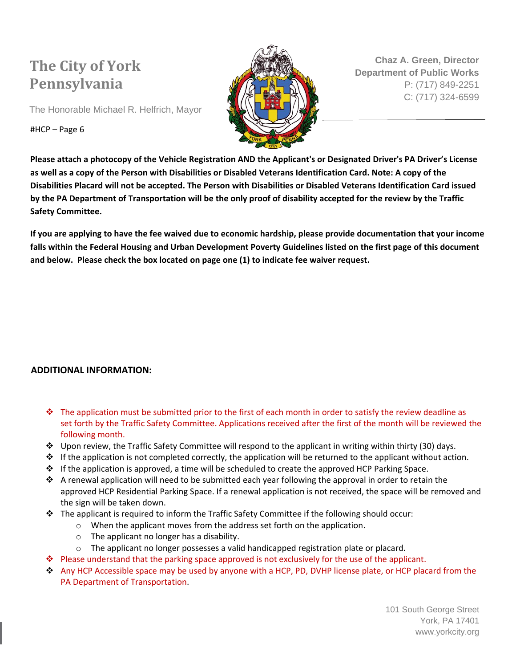The Honorable Michael R. Helfrich, Mayor



**Chaz A. Green, Director Department of Public Works** P: (717) 849-2251 C: (717) 324-6599

#### #HCP – Page 6

**Please attach a photocopy of the Vehicle Registration AND the Applicant's or Designated Driver's PA Driver's License as well as a copy of the Person with Disabilities or Disabled Veterans Identification Card. Note: A copy of the Disabilities Placard will not be accepted. The Person with Disabilities or Disabled Veterans Identification Card issued by the PA Department of Transportation will be the only proof of disability accepted for the review by the Traffic Safety Committee.** 

**If you are applying to have the fee waived due to economic hardship, please provide documentation that your income falls within the Federal Housing and Urban Development Poverty Guidelines listed on the first page of this document and below. Please check the box located on page one (1) to indicate fee waiver request.** 

### **ADDITIONAL INFORMATION:**

- The application must be submitted prior to the first of each month in order to satisfy the review deadline as set forth by the Traffic Safety Committee. Applications received after the first of the month will be reviewed the following month.
- $\div$  Upon review, the Traffic Safety Committee will respond to the applicant in writing within thirty (30) days.
- $\cdot \cdot$  If the application is not completed correctly, the application will be returned to the applicant without action.
- ❖ If the application is approved, a time will be scheduled to create the approved HCP Parking Space.
- $\bullet$  A renewal application will need to be submitted each year following the approval in order to retain the approved HCP Residential Parking Space. If a renewal application is not received, the space will be removed and the sign will be taken down.
- $\div$  The applicant is required to inform the Traffic Safety Committee if the following should occur:
	- o When the applicant moves from the address set forth on the application.
	- o The applicant no longer has a disability.
	- $\circ$  The applicant no longer possesses a valid handicapped registration plate or placard.
- Please understand that the parking space approved is not exclusively for the use of the applicant.
- ◆ Any HCP Accessible space may be used by anyone with a HCP, PD, DVHP license plate, or HCP placard from the PA Department of Transportation.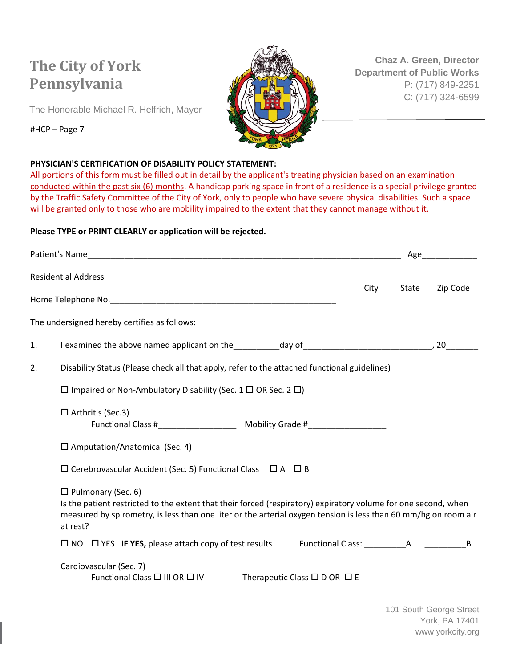

**Chaz A. Green, Director Department of Public Works** P: (717) 849-2251 C: (717) 324-6599

The Honorable Michael R. Helfrich, Mayor

#### #HCP – Page 7

#### **PHYSICIAN'S CERTIFICATION OF DISABILITY POLICY STATEMENT:**

All portions of this form must be filled out in detail by the applicant's treating physician based on an examination conducted within the past six (6) months. A handicap parking space in front of a residence is a special privilege granted by the Traffic Safety Committee of the City of York, only to people who have severe physical disabilities. Such a space will be granted only to those who are mobility impaired to the extent that they cannot manage without it.

### **Please TYPE or PRINT CLEARLY or application will be rejected.**

|    |                                                                                                                                                                                                                                                                            |      |       | Age      |  |  |  |
|----|----------------------------------------------------------------------------------------------------------------------------------------------------------------------------------------------------------------------------------------------------------------------------|------|-------|----------|--|--|--|
|    |                                                                                                                                                                                                                                                                            |      |       |          |  |  |  |
|    |                                                                                                                                                                                                                                                                            | City | State | Zip Code |  |  |  |
|    | The undersigned hereby certifies as follows:                                                                                                                                                                                                                               |      |       |          |  |  |  |
| 1. |                                                                                                                                                                                                                                                                            |      |       |          |  |  |  |
| 2. | Disability Status (Please check all that apply, refer to the attached functional guidelines)                                                                                                                                                                               |      |       |          |  |  |  |
|    | $\Box$ Impaired or Non-Ambulatory Disability (Sec. 1 $\Box$ OR Sec. 2 $\Box$ )                                                                                                                                                                                             |      |       |          |  |  |  |
|    | $\Box$ Arthritis (Sec.3)                                                                                                                                                                                                                                                   |      |       |          |  |  |  |
|    | $\square$ Amputation/Anatomical (Sec. 4)                                                                                                                                                                                                                                   |      |       |          |  |  |  |
|    | $\square$ Cerebrovascular Accident (Sec. 5) Functional Class $\square$ A $\square$ B                                                                                                                                                                                       |      |       |          |  |  |  |
|    | $\Box$ Pulmonary (Sec. 6)<br>Is the patient restricted to the extent that their forced (respiratory) expiratory volume for one second, when<br>measured by spirometry, is less than one liter or the arterial oxygen tension is less than 60 mm/hg on room air<br>at rest? |      |       |          |  |  |  |
|    | $\Box$ NO $\Box$ YES IF YES, please attach copy of test results Functional Class: A                                                                                                                                                                                        |      |       | B        |  |  |  |
|    | Cardiovascular (Sec. 7)<br>Functional Class □ III OR □ IV<br>Therapeutic Class $\square$ D OR $\square$ E                                                                                                                                                                  |      |       |          |  |  |  |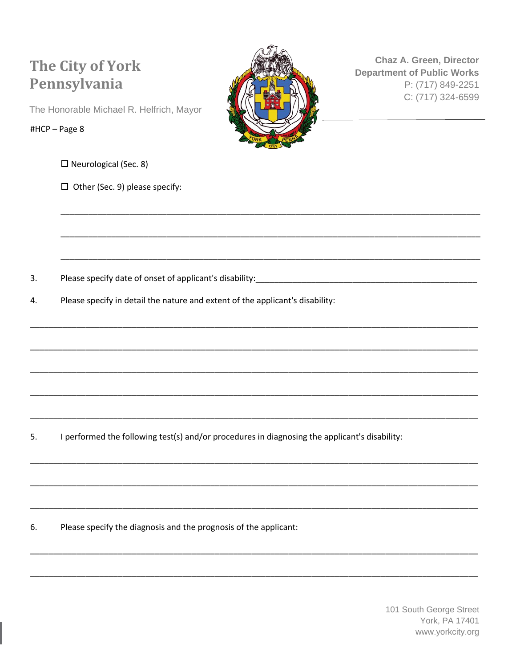

Chaz A. Green, Director **Department of Public Works** P: (717) 849-2251 C: (717) 324-6599

The Honorable Michael R. Helfrich, Mayor

#HCP-Page 8

 $\Box$  Neurological (Sec. 8)

 $\Box$  Other (Sec. 9) please specify:

3. 

4. Please specify in detail the nature and extent of the applicant's disability:

5. I performed the following test(s) and/or procedures in diagnosing the applicant's disability:

Please specify the diagnosis and the prognosis of the applicant: 6.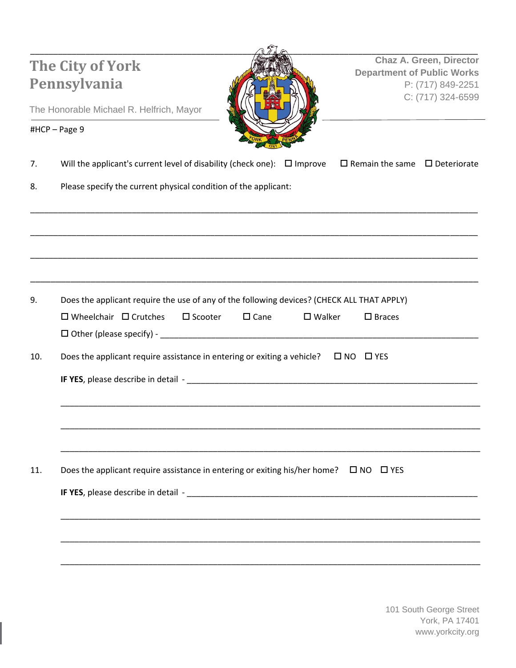|     | Pennsylvania<br>The Honorable Michael R. Helfrich, Mayor                                                                                                                                                                                                                                                              |                |                  | <b>Chaz A. Green, Director</b><br><b>Department of Public Works</b><br>P: (717) 849-2251<br>C: (717) 324-6599 |                                              |  |
|-----|-----------------------------------------------------------------------------------------------------------------------------------------------------------------------------------------------------------------------------------------------------------------------------------------------------------------------|----------------|------------------|---------------------------------------------------------------------------------------------------------------|----------------------------------------------|--|
|     | #HCP-Page 9                                                                                                                                                                                                                                                                                                           |                |                  |                                                                                                               | the control of the control of the control of |  |
| 7.  | Will the applicant's current level of disability (check one): $\Box$ Improve                                                                                                                                                                                                                                          |                |                  | $\Box$ Remain the same $\Box$ Deteriorate                                                                     |                                              |  |
| 8.  | Please specify the current physical condition of the applicant:                                                                                                                                                                                                                                                       |                |                  |                                                                                                               |                                              |  |
|     |                                                                                                                                                                                                                                                                                                                       |                |                  |                                                                                                               |                                              |  |
|     |                                                                                                                                                                                                                                                                                                                       |                |                  |                                                                                                               |                                              |  |
| 9.  | Does the applicant require the use of any of the following devices? (CHECK ALL THAT APPLY)<br>$\Box$ Wheelchair $\Box$ Crutches<br>$\square$ Scooter                                                                                                                                                                  | $\square$ Cane | $\square$ Walker | $\square$ Braces                                                                                              |                                              |  |
| 10. | Does the applicant require assistance in entering or exiting a vehicle?<br><b>IF YES</b> , please describe in detail - <b>Analyzing and Contract and Contract and Contract and Contract and Contract and Contract and Contract and Contract and Contract and Contract and Contract and Contract and Contract and </b> |                |                  | $\Box$ NO $\Box$ YES                                                                                          |                                              |  |
|     |                                                                                                                                                                                                                                                                                                                       |                |                  |                                                                                                               |                                              |  |
| 11. | Does the applicant require assistance in entering or exiting his/her home? $\Box$ NO $\Box$ YES                                                                                                                                                                                                                       |                |                  |                                                                                                               |                                              |  |
|     |                                                                                                                                                                                                                                                                                                                       |                |                  |                                                                                                               |                                              |  |
|     |                                                                                                                                                                                                                                                                                                                       |                |                  |                                                                                                               |                                              |  |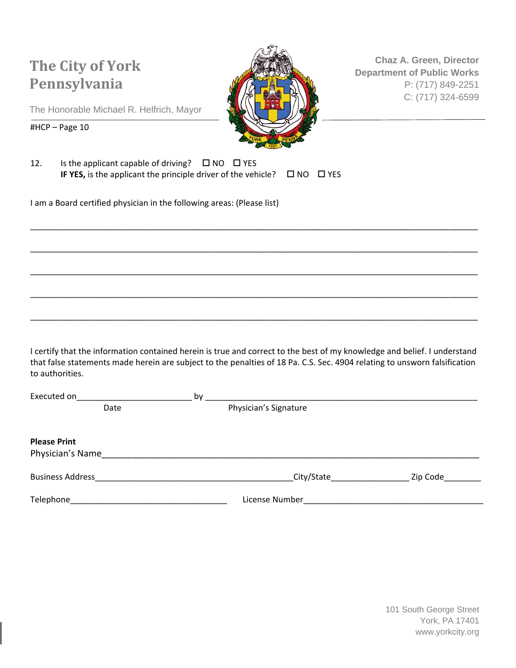

**Chaz A. Green, Director Department of Public Works** P: (717) 849-2251 C: (717) 324-6599

The Honorable Michael R. Helfrich, Mayor

#HCP – Page 10

| 12. | Is the applicant capable of driving? $\Box$ NO $\Box$ YES                          |  |
|-----|------------------------------------------------------------------------------------|--|
|     | IF YES, is the applicant the principle driver of the vehicle? $\Box$ NO $\Box$ YES |  |

I am a Board certified physician in the following areas: (Please list)

I certify that the information contained herein is true and correct to the best of my knowledge and belief. I understand that false statements made herein are subject to the penalties of 18 Pa. C.S. Sec. 4904 relating to unsworn falsification to authorities.

\_\_\_\_\_\_\_\_\_\_\_\_\_\_\_\_\_\_\_\_\_\_\_\_\_\_\_\_\_\_\_\_\_\_\_\_\_\_\_\_\_\_\_\_\_\_\_\_\_\_\_\_\_\_\_\_\_\_\_\_\_\_\_\_\_\_\_\_\_\_\_\_\_\_\_\_\_\_\_\_\_\_\_\_\_\_\_\_\_\_\_\_\_\_\_\_\_

\_\_\_\_\_\_\_\_\_\_\_\_\_\_\_\_\_\_\_\_\_\_\_\_\_\_\_\_\_\_\_\_\_\_\_\_\_\_\_\_\_\_\_\_\_\_\_\_\_\_\_\_\_\_\_\_\_\_\_\_\_\_\_\_\_\_\_\_\_\_\_\_\_\_\_\_\_\_\_\_\_\_\_\_\_\_\_\_\_\_\_\_\_\_\_\_\_

\_\_\_\_\_\_\_\_\_\_\_\_\_\_\_\_\_\_\_\_\_\_\_\_\_\_\_\_\_\_\_\_\_\_\_\_\_\_\_\_\_\_\_\_\_\_\_\_\_\_\_\_\_\_\_\_\_\_\_\_\_\_\_\_\_\_\_\_\_\_\_\_\_\_\_\_\_\_\_\_\_\_\_\_\_\_\_\_\_\_\_\_\_\_\_\_\_

\_\_\_\_\_\_\_\_\_\_\_\_\_\_\_\_\_\_\_\_\_\_\_\_\_\_\_\_\_\_\_\_\_\_\_\_\_\_\_\_\_\_\_\_\_\_\_\_\_\_\_\_\_\_\_\_\_\_\_\_\_\_\_\_\_\_\_\_\_\_\_\_\_\_\_\_\_\_\_\_\_\_\_\_\_\_\_\_\_\_\_\_\_\_\_\_\_

\_\_\_\_\_\_\_\_\_\_\_\_\_\_\_\_\_\_\_\_\_\_\_\_\_\_\_\_\_\_\_\_\_\_\_\_\_\_\_\_\_\_\_\_\_\_\_\_\_\_\_\_\_\_\_\_\_\_\_\_\_\_\_\_\_\_\_\_\_\_\_\_\_\_\_\_\_\_\_\_\_\_\_\_\_\_\_\_\_\_\_\_\_\_\_\_\_

| Executed on             | by |                       |          |  |  |
|-------------------------|----|-----------------------|----------|--|--|
| Date                    |    | Physician's Signature |          |  |  |
|                         |    |                       |          |  |  |
| <b>Please Print</b>     |    |                       |          |  |  |
| Physician's Name        |    |                       |          |  |  |
| <b>Business Address</b> |    | City/State            | Zip Code |  |  |
| Telephone               |    | License Number        |          |  |  |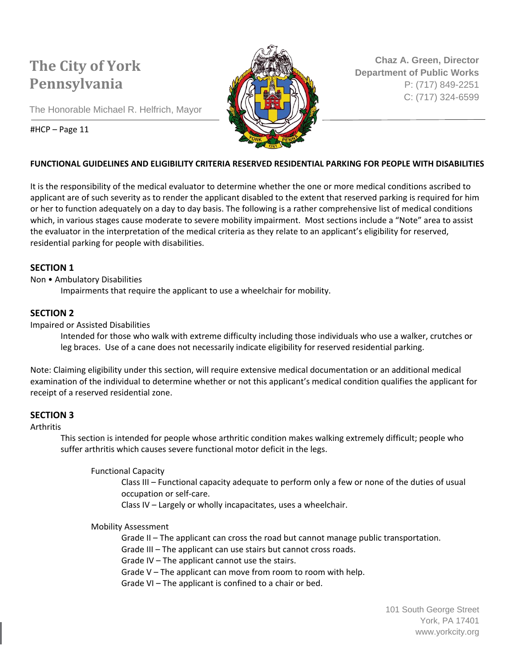The Honorable Michael R. Helfrich, Mayor



**Chaz A. Green, Director Department of Public Works** P: (717) 849-2251 C: (717) 324-6599

#### #HCP – Page 11

### **FUNCTIONAL GUIDELINES AND ELIGIBILITY CRITERIA RESERVED RESIDENTIAL PARKING FOR PEOPLE WITH DISABILITIES**

It is the responsibility of the medical evaluator to determine whether the one or more medical conditions ascribed to applicant are of such severity as to render the applicant disabled to the extent that reserved parking is required for him or her to function adequately on a day to day basis. The following is a rather comprehensive list of medical conditions which, in various stages cause moderate to severe mobility impairment. Most sections include a "Note" area to assist the evaluator in the interpretation of the medical criteria as they relate to an applicant's eligibility for reserved, residential parking for people with disabilities.

#### **SECTION 1**

Non • Ambulatory Disabilities

Impairments that require the applicant to use a wheelchair for mobility.

#### **SECTION 2**

Impaired or Assisted Disabilities

Intended for those who walk with extreme difficulty including those individuals who use a walker, crutches or leg braces. Use of a cane does not necessarily indicate eligibility for reserved residential parking.

Note: Claiming eligibility under this section, will require extensive medical documentation or an additional medical examination of the individual to determine whether or not this applicant's medical condition qualifies the applicant for receipt of a reserved residential zone.

#### **SECTION 3**

#### Arthritis

This section is intended for people whose arthritic condition makes walking extremely difficult; people who suffer arthritis which causes severe functional motor deficit in the legs.

Functional Capacity

Class III – Functional capacity adequate to perform only a few or none of the duties of usual occupation or self-care.

Class IV – Largely or wholly incapacitates, uses a wheelchair.

#### Mobility Assessment

Grade II – The applicant can cross the road but cannot manage public transportation.

Grade III – The applicant can use stairs but cannot cross roads.

Grade IV – The applicant cannot use the stairs.

Grade V – The applicant can move from room to room with help.

Grade VI – The applicant is confined to a chair or bed.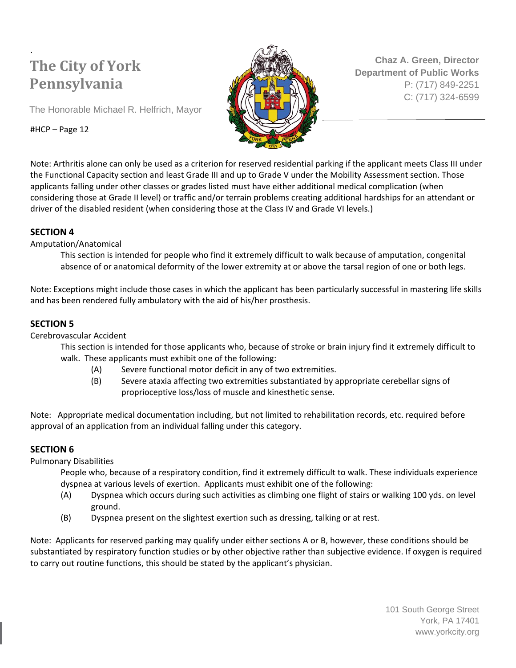**Chaz A. Green, Director Department of Public Works** P: (717) 849-2251 C: (717) 324-6599

The Honorable Michael R. Helfrich, Mayor

### #HCP – Page 12

Note: Arthritis alone can only be used as a criterion for reserved residential parking if the applicant meets Class III under the Functional Capacity section and least Grade III and up to Grade V under the Mobility Assessment section. Those applicants falling under other classes or grades listed must have either additional medical complication (when considering those at Grade II level) or traffic and/or terrain problems creating additional hardships for an attendant or driver of the disabled resident (when considering those at the Class IV and Grade VI levels.)

### **SECTION 4**

### Amputation/Anatomical

This section is intended for people who find it extremely difficult to walk because of amputation, congenital absence of or anatomical deformity of the lower extremity at or above the tarsal region of one or both legs.

Note: Exceptions might include those cases in which the applicant has been particularly successful in mastering life skills and has been rendered fully ambulatory with the aid of his/her prosthesis.

### **SECTION 5**

Cerebrovascular Accident

This section is intended for those applicants who, because of stroke or brain injury find it extremely difficult to walk. These applicants must exhibit one of the following:

- (A) Severe functional motor deficit in any of two extremities.
- (B) Severe ataxia affecting two extremities substantiated by appropriate cerebellar signs of proprioceptive loss/loss of muscle and kinesthetic sense.

Note: Appropriate medical documentation including, but not limited to rehabilitation records, etc. required before approval of an application from an individual falling under this category.

### **SECTION 6**

Pulmonary Disabilities

People who, because of a respiratory condition, find it extremely difficult to walk. These individuals experience dyspnea at various levels of exertion. Applicants must exhibit one of the following:

- (A) Dyspnea which occurs during such activities as climbing one flight of stairs or walking 100 yds. on level ground.
- (B) Dyspnea present on the slightest exertion such as dressing, talking or at rest.

Note: Applicants for reserved parking may qualify under either sections A or B, however, these conditions should be substantiated by respiratory function studies or by other objective rather than subjective evidence. If oxygen is required to carry out routine functions, this should be stated by the applicant's physician.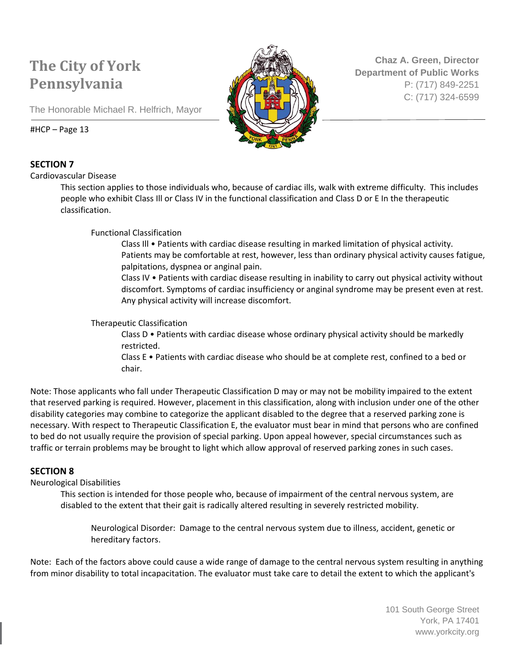

**Chaz A. Green, Director Department of Public Works** P: (717) 849-2251 C: (717) 324-6599

The Honorable Michael R. Helfrich, Mayor

#### #HCP – Page 13

### **SECTION 7**

Cardiovascular Disease

This section applies to those individuals who, because of cardiac ills, walk with extreme difficulty. This includes people who exhibit Class Ill or Class IV in the functional classification and Class D or E In the therapeutic classification.

Functional Classification

Class Ill • Patients with cardiac disease resulting in marked limitation of physical activity. Patients may be comfortable at rest, however, less than ordinary physical activity causes fatigue, palpitations, dyspnea or anginal pain.

Class IV • Patients with cardiac disease resulting in inability to carry out physical activity without discomfort. Symptoms of cardiac insufficiency or anginal syndrome may be present even at rest. Any physical activity will increase discomfort.

#### Therapeutic Classification

Class D • Patients with cardiac disease whose ordinary physical activity should be markedly restricted.

Class E • Patients with cardiac disease who should be at complete rest, confined to a bed or chair.

Note: Those applicants who fall under Therapeutic Classification D may or may not be mobility impaired to the extent that reserved parking is required. However, placement in this classification, along with inclusion under one of the other disability categories may combine to categorize the applicant disabled to the degree that a reserved parking zone is necessary. With respect to Therapeutic Classification E, the evaluator must bear in mind that persons who are confined to bed do not usually require the provision of special parking. Upon appeal however, special circumstances such as traffic or terrain problems may be brought to light which allow approval of reserved parking zones in such cases.

### **SECTION 8**

#### Neurological Disabilities

This section is intended for those people who, because of impairment of the central nervous system, are disabled to the extent that their gait is radically altered resulting in severely restricted mobility.

Neurological Disorder: Damage to the central nervous system due to illness, accident, genetic or hereditary factors.

Note: Each of the factors above could cause a wide range of damage to the central nervous system resulting in anything from minor disability to total incapacitation. The evaluator must take care to detail the extent to which the applicant's